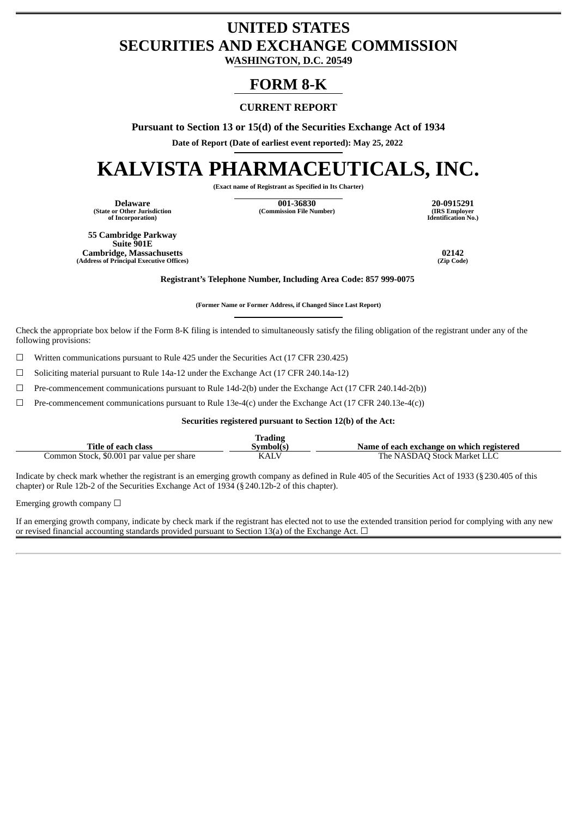# **UNITED STATES SECURITIES AND EXCHANGE COMMISSION**

**WASHINGTON, D.C. 20549**

# **FORM 8-K**

## **CURRENT REPORT**

**Pursuant to Section 13 or 15(d) of the Securities Exchange Act of 1934**

**Date of Report (Date of earliest event reported): May 25, 2022**

# **KALVISTA PHARMACEUTICALS, INC.**

**(Exact name of Registrant as Specified in Its Charter)**

**(State or Other Jurisdiction of Incorporation)**

**Delaware 001-36830 20-0915291 (Commission File Number) (IRS Employer**

**Identification No.)**

**55 Cambridge Parkway Suite 901E Cambridge, Massachusetts 02142 (Address of Principal Executive Offices)** 

**Registrant's Telephone Number, Including Area Code: 857 999-0075**

**(Former Name or Former Address, if Changed Since Last Report)**

Check the appropriate box below if the Form 8-K filing is intended to simultaneously satisfy the filing obligation of the registrant under any of the following provisions:

☐ Written communications pursuant to Rule 425 under the Securities Act (17 CFR 230.425)

☐ Soliciting material pursuant to Rule 14a-12 under the Exchange Act (17 CFR 240.14a-12)

☐ Pre-commencement communications pursuant to Rule 14d-2(b) under the Exchange Act (17 CFR 240.14d-2(b))

 $\Box$  Pre-commencement communications pursuant to Rule 13e-4(c) under the Exchange Act (17 CFR 240.13e-4(c))

#### **Securities registered pursuant to Section 12(b) of the Act:**

|                                           | <b>Trading</b> |                                           |
|-------------------------------------------|----------------|-------------------------------------------|
| Title of each class                       | Symbol(s.      | Name of each exchange on which registered |
| Common Stock, \$0.001 par value per share | KALV           | The NASDAO Stock Market LLC               |

Indicate by check mark whether the registrant is an emerging growth company as defined in Rule 405 of the Securities Act of 1933 (§230.405 of this chapter) or Rule 12b-2 of the Securities Exchange Act of 1934 (§240.12b-2 of this chapter).

Emerging growth company  $\Box$ 

If an emerging growth company, indicate by check mark if the registrant has elected not to use the extended transition period for complying with any new or revised financial accounting standards provided pursuant to Section 13(a) of the Exchange Act.  $\Box$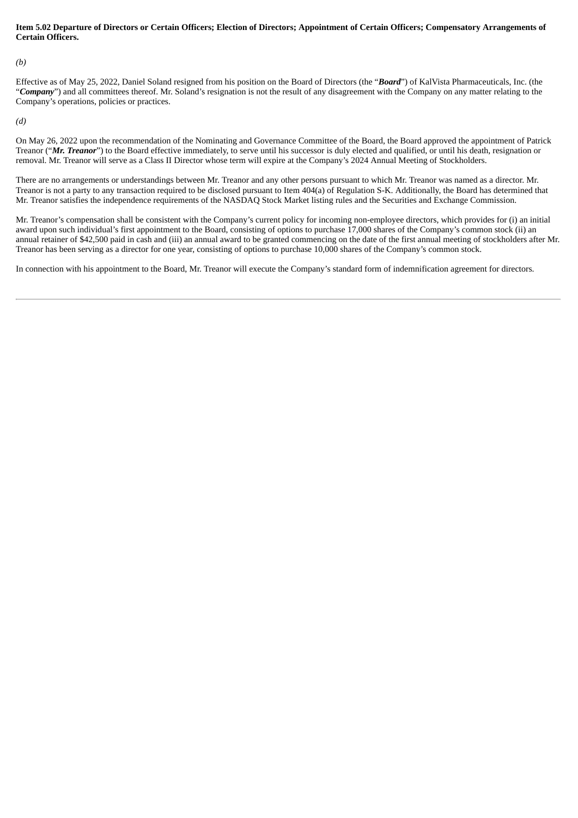#### Item 5.02 Departure of Directors or Certain Officers; Election of Directors; Appointment of Certain Officers; Compensatory Arrangements of **Certain Officers.**

*(b)*

Effective as of May 25, 2022, Daniel Soland resigned from his position on the Board of Directors (the "*Board*") of KalVista Pharmaceuticals, Inc. (the "Company") and all committees thereof. Mr. Soland's resignation is not the result of any disagreement with the Company on any matter relating to the Company's operations, policies or practices.

*(d)*

On May 26, 2022 upon the recommendation of the Nominating and Governance Committee of the Board, the Board approved the appointment of Patrick Treanor ("*Mr. Treanor*") to the Board effective immediately, to serve until his successor is duly elected and qualified, or until his death, resignation or removal. Mr. Treanor will serve as a Class II Director whose term will expire at the Company's 2024 Annual Meeting of Stockholders.

There are no arrangements or understandings between Mr. Treanor and any other persons pursuant to which Mr. Treanor was named as a director. Mr. Treanor is not a party to any transaction required to be disclosed pursuant to Item 404(a) of Regulation S-K. Additionally, the Board has determined that Mr. Treanor satisfies the independence requirements of the NASDAQ Stock Market listing rules and the Securities and Exchange Commission.

Mr. Treanor's compensation shall be consistent with the Company's current policy for incoming non-employee directors, which provides for (i) an initial award upon such individual's first appointment to the Board, consisting of options to purchase 17,000 shares of the Company's common stock (ii) an annual retainer of \$42,500 paid in cash and (iii) an annual award to be granted commencing on the date of the first annual meeting of stockholders after Mr. Treanor has been serving as a director for one year, consisting of options to purchase 10,000 shares of the Company's common stock.

In connection with his appointment to the Board, Mr. Treanor will execute the Company's standard form of indemnification agreement for directors.